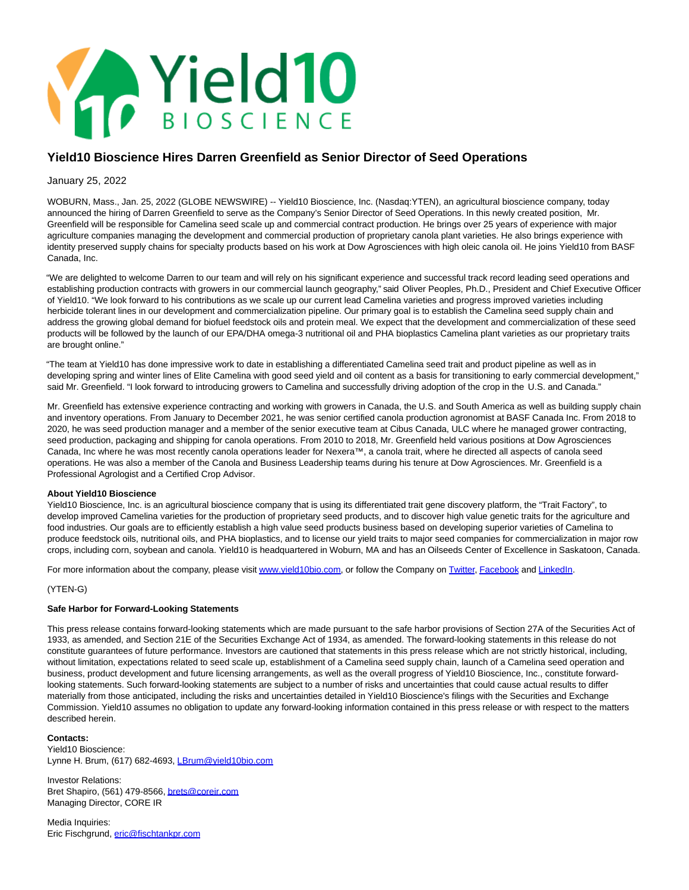

# **Yield10 Bioscience Hires Darren Greenfield as Senior Director of Seed Operations**

### January 25, 2022

WOBURN, Mass., Jan. 25, 2022 (GLOBE NEWSWIRE) -- Yield10 Bioscience, Inc. (Nasdaq:YTEN), an agricultural bioscience company, today announced the hiring of Darren Greenfield to serve as the Company's Senior Director of Seed Operations. In this newly created position, Mr. Greenfield will be responsible for Camelina seed scale up and commercial contract production. He brings over 25 years of experience with major agriculture companies managing the development and commercial production of proprietary canola plant varieties. He also brings experience with identity preserved supply chains for specialty products based on his work at Dow Agrosciences with high oleic canola oil. He joins Yield10 from BASF Canada, Inc.

"We are delighted to welcome Darren to our team and will rely on his significant experience and successful track record leading seed operations and establishing production contracts with growers in our commercial launch geography," said Oliver Peoples, Ph.D., President and Chief Executive Officer of Yield10. "We look forward to his contributions as we scale up our current lead Camelina varieties and progress improved varieties including herbicide tolerant lines in our development and commercialization pipeline. Our primary goal is to establish the Camelina seed supply chain and address the growing global demand for biofuel feedstock oils and protein meal. We expect that the development and commercialization of these seed products will be followed by the launch of our EPA/DHA omega-3 nutritional oil and PHA bioplastics Camelina plant varieties as our proprietary traits are brought online."

"The team at Yield10 has done impressive work to date in establishing a differentiated Camelina seed trait and product pipeline as well as in developing spring and winter lines of Elite Camelina with good seed yield and oil content as a basis for transitioning to early commercial development," said Mr. Greenfield. "I look forward to introducing growers to Camelina and successfully driving adoption of the crop in the U.S. and Canada."

Mr. Greenfield has extensive experience contracting and working with growers in Canada, the U.S. and South America as well as building supply chain and inventory operations. From January to December 2021, he was senior certified canola production agronomist at BASF Canada Inc. From 2018 to 2020, he was seed production manager and a member of the senior executive team at Cibus Canada, ULC where he managed grower contracting, seed production, packaging and shipping for canola operations. From 2010 to 2018, Mr. Greenfield held various positions at Dow Agrosciences Canada, Inc where he was most recently canola operations leader for Nexera™, a canola trait, where he directed all aspects of canola seed operations. He was also a member of the Canola and Business Leadership teams during his tenure at Dow Agrosciences. Mr. Greenfield is a Professional Agrologist and a Certified Crop Advisor.

#### **About Yield10 Bioscience**

Yield10 Bioscience, Inc. is an agricultural bioscience company that is using its differentiated trait gene discovery platform, the "Trait Factory", to develop improved Camelina varieties for the production of proprietary seed products, and to discover high value genetic traits for the agriculture and food industries. Our goals are to efficiently establish a high value seed products business based on developing superior varieties of Camelina to produce feedstock oils, nutritional oils, and PHA bioplastics, and to license our yield traits to major seed companies for commercialization in major row crops, including corn, soybean and canola. Yield10 is headquartered in Woburn, MA and has an Oilseeds Center of Excellence in Saskatoon, Canada.

For more information about the company, please visit www.vield10bio.com, or follow the Company on [Twitter,](https://www.globenewswire.com/Tracker?data=ggeLao5jqrnQhDfbeEo7C-ox-8utitWW4nTxdt8PuVH_0JgeCDZFrT0C7IBGQ4vDXh9GIpaTk_O8bBe38ad9cw==) [Facebook a](https://www.globenewswire.com/Tracker?data=Mz4Z0WCmTUIVzrw3tUJuvbF-PEKTeXctJB4DRfE5y7x2uZCziokfv3zJo65ygqGrJRlJPIBSOYkowSMjvwjokflZbkWItrDV-vQ4nF-BRfc=)nd [LinkedIn.](https://www.globenewswire.com/Tracker?data=CGQDmZ8WwdMpVbDxoYlscdA1MXrfA6aQrjDsZG2AUjdhMgzCKXwBS8elAejyp-uyyRl23bVO7r0zeD24iUBXgyRScbpxeqvJL5cHC9tNcls=)

#### (YTEN-G)

## **Safe Harbor for Forward-Looking Statements**

This press release contains forward-looking statements which are made pursuant to the safe harbor provisions of Section 27A of the Securities Act of 1933, as amended, and Section 21E of the Securities Exchange Act of 1934, as amended. The forward-looking statements in this release do not constitute guarantees of future performance. Investors are cautioned that statements in this press release which are not strictly historical, including, without limitation, expectations related to seed scale up, establishment of a Camelina seed supply chain, launch of a Camelina seed operation and business, product development and future licensing arrangements, as well as the overall progress of Yield10 Bioscience, Inc., constitute forwardlooking statements. Such forward-looking statements are subject to a number of risks and uncertainties that could cause actual results to differ materially from those anticipated, including the risks and uncertainties detailed in Yield10 Bioscience's filings with the Securities and Exchange Commission. Yield10 assumes no obligation to update any forward-looking information contained in this press release or with respect to the matters described herein.

#### **Contacts:**

Yield10 Bioscience: Lynne H. Brum, (617) 682-4693, LBrum@vield10bio.com

Investor Relations: Bret Shapiro, (561) 479-8566[, brets@coreir.com](https://www.globenewswire.com/Tracker?data=nrd6MZ_Z3yt2VCFCHxbTizDYdE5MuRVscCrEybqZ0DE_MVhlSFQl9E9z0Ps-4VzJ18l-jet8mX9h7FE_Rm_G6Q==) Managing Director, CORE IR

Media Inquiries: Eric Fischgrund, [eric@fischtankpr.com](https://www.globenewswire.com/Tracker?data=fuCldrgb7UAj3UFZQcArNZpiqQzTwvKPyIW7K0L3oS4cElc8Y--S-Bua-tR-s-AcY8A5Pyco3I_VyhtXO08tnJdZnG2jk9qUld1ZFeZBWUA=)